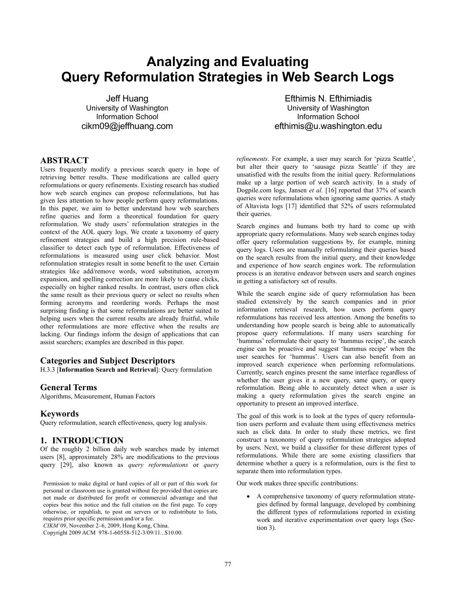# **Analyzing and Evaluating Query Reformulation Strategies in Web Search Logs**

Jeff Huang University of Washington Information School cikm09@jeffhuang.com

# **ABSTRACT**

Users frequently modify a previous search query in hope of retrieving better results. These modifications are called query reformulations or query refinements. Existing research has studied how web search engines can propose reformulations, but has given less attention to how people perform query reformulations. In this paper, we aim to better understand how web searchers refine queries and form a theoretical foundation for query reformulation. We study users' reformulation strategies in the context of the AOL query logs. We create a taxonomy of query refinement strategies and build a high precision rule-based classifier to detect each type of reformulation. Effectiveness of reformulations is measured using user click behavior. Most reformulation strategies result in some benefit to the user. Certain strategies like add/remove words, word substitution, acronym expansion, and spelling correction are more likely to cause clicks, especially on higher ranked results. In contrast, users often click the same result as their previous query or select no results when forming acronyms and reordering words. Perhaps the most surprising finding is that some reformulations are better suited to helping users when the current results are already fruitful, while other reformulations are more effective when the results are lacking. Our findings inform the design of applications that can assist searchers; examples are described in this paper.

# **Categories and Subject Descriptors**

H.3.3 [**Information Search and Retrieval**]: Query formulation

#### **General Terms**

Algorithms, Measurement, Human Factors

#### **Keywords**

Query reformulation, search effectiveness, query log analysis.

## **1. INTRODUCTION**

Of the roughly 2 billion daily web searches made by internet users [8], approximately 28% are modifications to the previous query [29], also known as *query reformulations* or *query* 

Permission to make digital or hard copies of all or part of this work for personal or classroom use is granted without fee provided that copies are not made or distributed for profit or commercial advantage and that copies bear this notice and the full citation on the first page. To copy otherwise, or republish, to post on servers or to redistribute to lists, requires prior specific permission and/or a fee.

*CIKM'09*, November 2–6, 2009, Hong Kong, China.

Copyright 2009 ACM 978-1-60558-512-3/09/11...\$10.00.

Efthimis N. Efthimiadis University of Washington Information School efthimis@u.washington.edu

*refinements*. For example, a user may search for 'pizza Seattle', but alter their query to 'sausage pizza Seattle' if they are unsatisfied with the results from the initial query. Reformulations make up a large portion of web search activity. In a study of Dogpile.com logs, Jansen *et al.* [16] reported that 37% of search queries were reformulations when ignoring same queries. A study of Altavista logs [17] identified that 52% of users reformulated their queries.

Search engines and humans both try hard to come up with appropriate query reformulations. Many web search engines today offer query reformulation suggestions by, for example, mining query logs. Users are manually reformulating their queries based on the search results from the initial query, and their knowledge and experience of how search engines work. The reformulation process is an iterative endeavor between users and search engines in getting a satisfactory set of results.

While the search engine side of query reformulation has been studied extensively by the search companies and in prior information retrieval research, how users perform query reformulations has received less attention. Among the benefits to understanding how people search is being able to automatically propose query reformulations. If many users searching for 'hummus' reformulate their query to 'hummus recipe', the search engine can be proactive and suggest 'hummus recipe' when the user searches for 'hummus'. Users can also benefit from an improved search experience when performing reformulations. Currently, search engines present the same interface regardless of whether the user gives it a new query, same query, or query reformulation. Being able to accurately detect when a user is making a query reformulation gives the search engine an opportunity to present an improved interface.

The goal of this work is to look at the types of query reformulation users perform and evaluate them using effectiveness metrics such as click data. In order to study these metrics, we first construct a taxonomy of query reformulation strategies adopted by users. Next, we build a classifier for these different types of reformulations. While there are some existing classifiers that determine whether a query is a reformulation, ours is the first to separate them into reformulation types.

Our work makes three specific contributions:

• A comprehensive taxonomy of query reformulation strategies defined by formal language, developed by combining the different types of reformulations reported in existing work and iterative experimentation over query logs (Section 3).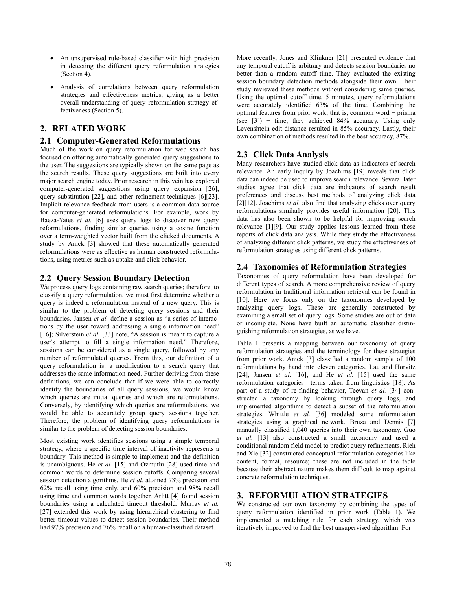- An unsupervised rule-based classifier with high precision in detecting the different query reformulation strategies (Section 4).
- Analysis of correlations between query reformulation strategies and effectiveness metrics, giving us a better overall understanding of query reformulation strategy effectiveness (Section 5).

# **2. RELATED WORK**

# **2.1 Computer-Generated Reformulations**

Much of the work on query reformulation for web search has focused on offering automatically generated query suggestions to the user. The suggestions are typically shown on the same page as the search results. These query suggestions are built into every major search engine today. Prior research in this vein has explored computer-generated suggestions using query expansion [26], query substitution [22], and other refinement techniques [6][23]. Implicit relevance feedback from users is a common data source for computer-generated reformulations. For example, work by Baeza-Yates *et al.* [6] uses query logs to discover new query reformulations, finding similar queries using a cosine function over a term-weighted vector built from the clicked documents. A study by Anick [3] showed that these automatically generated reformulations were as effective as human constructed reformulations, using metrics such as uptake and click behavior.

# **2.2 Query Session Boundary Detection**

We process query logs containing raw search queries; therefore, to classify a query reformulation, we must first determine whether a query is indeed a reformulation instead of a new query. This is similar to the problem of detecting query sessions and their boundaries. Jansen *et al.* define a session as "a series of interactions by the user toward addressing a single information need" [16]; Silverstein *et al.* [33] note, "A session is meant to capture a user's attempt to fill a single information need." Therefore, sessions can be considered as a single query, followed by any number of reformulated queries. From this, our definition of a query reformulation is: a modification to a search query that addresses the same information need. Further deriving from these definitions, we can conclude that if we were able to correctly identify the boundaries of all query sessions, we would know which queries are initial queries and which are reformulations. Conversely, by identifying which queries are reformulations, we would be able to accurately group query sessions together. Therefore, the problem of identifying query reformulations is similar to the problem of detecting session boundaries.

Most existing work identifies sessions using a simple temporal strategy, where a specific time interval of inactivity represents a boundary. This method is simple to implement and the definition is unambiguous. He *et al.* [15] and Ozmutlu [28] used time and common words to determine session cutoffs. Comparing several session detection algorithms, He *et al.* attained 73% precision and 62% recall using time only, and 60% precision and 98% recall using time and common words together. Arlitt [4] found session boundaries using a calculated timeout threshold. Murray *et al.* [27] extended this work by using hierarchical clustering to find better timeout values to detect session boundaries. Their method had 97% precision and 76% recall on a human-classified dataset.

More recently, Jones and Klinkner [21] presented evidence that any temporal cutoff is arbitrary and detects session boundaries no better than a random cutoff time. They evaluated the existing session boundary detection methods alongside their own. Their study reviewed these methods without considering same queries. Using the optimal cutoff time, 5 minutes, query reformulations were accurately identified 63% of the time. Combining the optimal features from prior work, that is, common word + prisma (see  $[3]$ ) + time, they achieved 84% accuracy. Using only Levenshtein edit distance resulted in 85% accuracy. Lastly, their own combination of methods resulted in the best accuracy, 87%.

# **2.3 Click Data Analysis**

Many researchers have studied click data as indicators of search relevance. An early inquiry by Joachims [19] reveals that click data can indeed be used to improve search relevance. Several later studies agree that click data are indicators of search result preferences and discuss best methods of analyzing click data [2][12]. Joachims *et al.* also find that analyzing clicks over query reformulations similarly provides useful information [20]. This data has also been shown to be helpful for improving search relevance [1][9]. Our study applies lessons learned from these reports of click data analysis. While they study the effectiveness of analyzing different click patterns, we study the effectiveness of reformulation strategies using different click patterns.

# **2.4 Taxonomies of Reformulation Strategies**

Taxonomies of query reformulation have been developed for different types of search. A more comprehensive review of query reformulation in traditional information retrieval can be found in [10]. Here we focus only on the taxonomies developed by analyzing query logs. These are generally constructed by examining a small set of query logs. Some studies are out of date or incomplete. None have built an automatic classifier distinguishing reformulation strategies, as we have.

Table 1 presents a mapping between our taxonomy of query reformulation strategies and the terminology for these strategies from prior work. Anick [3] classified a random sample of 100 reformulations by hand into eleven categories. Lau and Horvitz [24], Jansen *et al.* [16], and He *et al.* [15] used the same reformulation categories—terms taken from linguistics [18]. As part of a study of re-finding behavior, Teevan *et al.* [34] constructed a taxonomy by looking through query logs, and implemented algorithms to detect a subset of the reformulation strategies. Whittle *et al.* [36] modeled some reformulation strategies using a graphical network. Bruza and Dennis [7] manually classified 1,040 queries into their own taxonomy. Guo *et al.* [13] also constructed a small taxonomy and used a conditional random field model to predict query refinements. Rieh and Xie [32] constructed conceptual reformulation categories like content, format, resource; these are not included in the table because their abstract nature makes them difficult to map against concrete reformulation techniques.

# **3. REFORMULATION STRATEGIES**

We constructed our own taxonomy by combining the types of query reformulation identified in prior work (Table 1). We implemented a matching rule for each strategy, which was iteratively improved to find the best unsupervised algorithm. For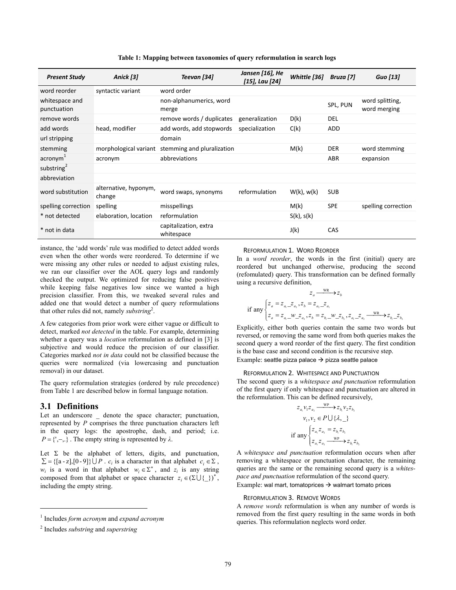**Table 1: Mapping between taxonomies of query reformulation in search logs** 

| <b>Present Study</b>          | Anick [3]                       | Teevan [34]                         | Jansen [16], He<br>[15], Lau [24] | Whittle [36]    | Bruza [7]  | <b>Guo</b> [13]                 |
|-------------------------------|---------------------------------|-------------------------------------|-----------------------------------|-----------------|------------|---------------------------------|
| word reorder                  | syntactic variant               | word order                          |                                   |                 |            |                                 |
| whitespace and<br>punctuation |                                 | non-alphanumerics, word<br>merge    |                                   |                 | SPL, PUN   | word splitting,<br>word merging |
| remove words                  |                                 | remove words / duplicates           | generalization                    | D(k)            | <b>DEL</b> |                                 |
| add words                     | head, modifier                  | add words, add stopwords            | specialization                    | C(k)            | ADD        |                                 |
| url stripping                 |                                 | domain                              |                                   |                 |            |                                 |
| stemming                      | morphological variant           | stemming and pluralization          |                                   | M(k)            | <b>DER</b> | word stemming                   |
| $\arcsin m^{\perp}$           | acronym                         | abbreviations                       |                                   |                 | ABR        | expansion                       |
| substring <sup>2</sup>        |                                 |                                     |                                   |                 |            |                                 |
| abbreviation                  |                                 |                                     |                                   |                 |            |                                 |
| word substitution             | alternative, hyponym,<br>change | word swaps, synonyms                | reformulation                     | $W(k)$ , $w(k)$ | <b>SUB</b> |                                 |
| spelling correction           | spelling                        | misspellings                        |                                   | M(k)            | <b>SPE</b> | spelling correction             |
| * not detected                | elaboration, location           | reformulation                       |                                   | $S(k)$ , $S(k)$ |            |                                 |
| * not in data                 |                                 | capitalization, extra<br>whitespace |                                   | J(k)            | CAS        |                                 |

instance, the 'add words' rule was modified to detect added words even when the other words were reordered. To determine if we were missing any other rules or needed to adjust existing rules, we ran our classifier over the AOL query logs and randomly checked the output. We optimized for reducing false positives while keeping false negatives low since we wanted a high precision classifier. From this, we tweaked several rules and added one that would detect a number of query reformulations that other rules did not, namely *substring*<sup>2</sup> .

A few categories from prior work were either vague or difficult to detect, marked *not detected* in the table. For example, determining whether a query was a *location* reformulation as defined in [3] is subjective and would reduce the precision of our classifier. Categories marked *not in data* could not be classified because the queries were normalized (via lowercasing and punctuation removal) in our dataset.

The query reformulation strategies (ordered by rule precedence) from Table 1 are described below in formal language notation.

# **3.1 Definitions**

-

Let an underscore denote the space character; punctuation, represented by *P* comprises the three punctuation characters left in the query logs: the apostrophe, dash, and period; i.e.  $P = \{\n, -\n\}$ . The empty string is represented by  $\lambda$ .

Let  $\Sigma$  be the alphabet of letters, digits, and punctuation,  $\Sigma = \{ [a - z], [0 - 9] \} \cup P$ . *c<sub>i</sub>* is a character in that alphabet *c<sub>i</sub>*  $\in \Sigma$ , *w<sub>i</sub>* is a word in that alphabet  $w_i \in \Sigma^*$ , and  $z_i$  is any string composed from that alphabet or space character  $z_i \in (\Sigma \cup \{\_\})^*$ , including the empty string.

REFORMULATION 1. WORD REORDER

In a *word reorder*, the words in the first (initial) query are reordered but unchanged otherwise, producing the second (refomulated) query. This transformation can be defined formally using a recursive definition,

$$
z_a \xrightarrow{\text{WR}} z_b
$$
  
if any  $\begin{cases} z_a = z_{a_1} \cdot z_{a_2}, z_b = z_{a_2} \cdot z_{a_1} \\ z_a = z_{a_1} \cdot w \cdot z_{a_2}, z_b = z_{b_1} \cdot w \cdot z_{b_2}, z_{a_1} \cdot z_{a_2} \xrightarrow{\text{WR}} z_{b_1} \cdot z_{b_2} \end{cases}$ 

Explicitly, either both queries contain the same two words but reversed, or removing the same word from both queries makes the second query a word reorder of the first query. The first condition is the base case and second condition is the recursive step. Example: seattle pizza palace  $\rightarrow$  pizza seattle palace

#### REFORMULATION 2. WHITESPACE AND PUNCTUATION

The second query is a *whitespace and punctuation* reformulation of the first query if only whitespace and punctuation are altered in the reformulation. This can be defined recursively,

$$
z_{a_1}v_1z_{a_2} \xrightarrow{\text{WP}} z_{b_1}v_2z_{b_2}
$$
  
\n
$$
v_1, v_2 \in P \cup \{\lambda, \lambda\}
$$
  
\nif any 
$$
\begin{cases} z_{a_1}z_{a_2} = z_{b_1}z_{b_2} \\ z_{a_1}z_{a_2} \xrightarrow{\text{WP}} z_{b_1}z_{b_2} \end{cases}
$$

A *whitespace and punctuation* reformulation occurs when after removing a whitespace or punctuation character, the remaining queries are the same or the remaining second query is a *whitespace and punctuation* reformulation of the second query.

Example: wal mart, tomatoprices  $\rightarrow$  walmart tomato prices

#### REFORMULATION 3. REMOVE WORDS

A *remove words* reformulation is when any number of words is removed from the first query resulting in the same words in both queries. This reformulation neglects word order.

<sup>1</sup> Includes *form acronym* and *expand acronym*

<sup>2</sup> Includes *substring* and *superstring*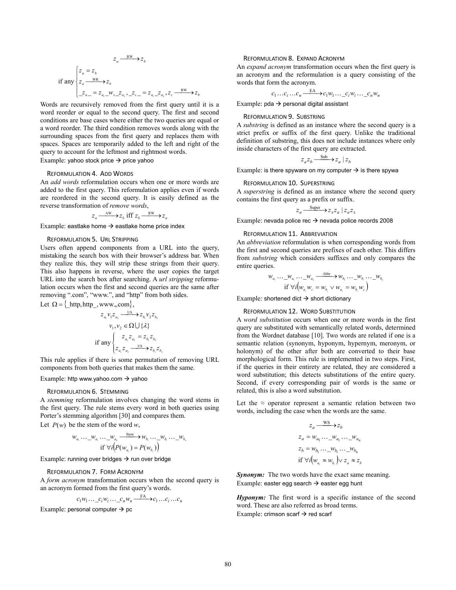$$
z_a \xrightarrow{\text{RW}} z_b
$$
  
if any 
$$
\begin{cases} z_a = z_b \\ z_a \xrightarrow{\text{WR}} z_b \\ z_{a-} = z_{a_1} - w_{x-} z_{a_2}, z_{c-} = z_{a_1} - z_{a_2}, z_c \xrightarrow{\text{RW}} z_b \end{cases}
$$

Words are recursively removed from the first query until it is a word reorder or equal to the second query. The first and second conditions are base cases where either the two queries are equal or a word reorder. The third condition removes words along with the surrounding spaces from the first query and replaces them with spaces. Spaces are temporarily added to the left and right of the query to account for the leftmost and rightmost words. Example: yahoo stock price  $\rightarrow$  price yahoo

#### REFORMULATION 4. ADD WORDS

An *add words* reformulation occurs when one or more words are added to the first query. This reformulation applies even if words are reordered in the second query. It is easily defined as the reverse transformation of *remove words*,

$$
z_a \xrightarrow{\text{AW}} z_b
$$
 iff  $z_b \xrightarrow{\text{RW}} z_a$ 

Example: eastlake home  $\rightarrow$  eastlake home price index

#### REFORMULATION 5. URL STRIPPING

Users often append components from a URL into the query, mistaking the search box with their browser's address bar. When they realize this, they will strip these strings from their query. This also happens in reverse, where the user copies the target URL into the search box after searching. A *url stripping* reformulation occurs when the first and second queries are the same after removing ".com", "www.", and "http" from both sides.

Let  $\Omega = \{$  http, http , www.,.com  $\},$ 

$$
z_{a_1}v_1z_{a_2} \xrightarrow{\qquad \qquad US} z_{b_1}v_2z_{b_2}
$$

$$
v_1, v_2 \in \Omega \cup \{\lambda\}
$$

$$
\text{if any }\begin{cases} z_{a_1}z_{a_2} = z_{b_1}z_{b_2} \\ z_{a_1}z_{a_2} \xrightarrow{\qquad \qquad US} z_{b_1}z_{b_2} \end{cases}
$$

This rule applies if there is some permutation of removing URL components from both queries that makes them the same.

#### Example: http www.yahoo.com  $\rightarrow$  yahoo

#### REFORMULATION 6. STEMMING

A *stemming* reformulation involves changing the word stems in the first query. The rule stems every word in both queries using Porter's stemming algorithm [30] and compares them. Let  $P(w)$  be the stem of the word *w*,

$$
w_{a_1} \cdots w_{a_r} \cdots w_{a_n} \xrightarrow{\text{Stem}} w_{b_1} \cdots w_{b_r} \cdots w_{b_n}
$$
  
if  $\forall i (P(w_{a_i}) = P(w_{b_i}))$ 

Example: running over bridges  $\rightarrow$  run over bridge

#### REFORMULATION 7. FORM ACRONYM

A *form acronym* transformation occurs when the second query is an acronym formed from the first query's words.

$$
c_1w_1 \dots c_iw_i \dots c_nw_n \xrightarrow{\text{FA}} c_1 \dots c_i \dots c_n
$$

Example: personal computer  $\rightarrow$  pc

#### REFORMULATION 8. EXPAND ACRONYM

An *expand acronym* transformation occurs when the first query is an acronym and the reformulation is a query consisting of the words that form the acronym.

$$
c_1 \dots c_i \dots c_n \xrightarrow{\text{EA}} c_1 w_1 \dots c_i w_i \dots c_n w_n
$$

Example:  $pda \rightarrow$  personal digital assistant

#### REFORMULATION 9. SUBSTRING

A *substring* is defined as an instance where the second query is a strict prefix or suffix of the first query. Unlike the traditional definition of substring, this does not include instances where only inside characters of the first query are extracted.

$$
z_a z_b \xrightarrow{\text{Sub}} z_a \mid z_b
$$

Example: is there spyware on my computer  $\rightarrow$  is there spywa

#### REFORMULATION 10. SUPERSTRING

A *superstring* is defined as an instance where the second query contains the first query as a prefix or suffix.

$$
z_a \xrightarrow{\text{Super}} z_x z_a \mid z_a z_x
$$

Example: nevada police rec  $\rightarrow$  nevada police records 2008

#### REFORMULATION 11. ABBREVIATION

An *abbreviation* reformulation is when corresponding words from the first and second queries are prefixes of each other. This differs from *substring* which considers suffixes and only compares the entire queries.

$$
w_{a_1} \cdots w_{a_r} \cdots w_{a_s} \xrightarrow{\text{Abb}} w_{b_1} \cdots w_{b_r} \cdots w_{b_s}
$$
  
if  $\forall i (w_{a_i} w_c = w_{b_i} \lor w_{a_i} = w_{b_i} w_c)$ 

Example: shortened dict  $\rightarrow$  short dictionary

#### REFORMULATION 12. WORD SUBSTITUTION

A *word substitution* occurs when one or more words in the first query are substituted with semantically related words, determined from the Wordnet database [10]. Two words are related if one is a semantic relation (synonym, hyponym, hypernym, meronym, or holonym) of the other after both are converted to their base morphological form. This rule is implemented in two steps. First, if the queries in their entirety are related, they are considered a word substitution; this detects substitutions of the entire query. Second, if every corresponding pair of words is the same or related, this is also a word substitution.

Let the  $\approx$  operator represent a semantic relation between two words, including the case when the words are the same.

$$
z_a \xrightarrow{\text{WS}} z_b
$$
  
\n
$$
z_a = w_{a_1} \dots w_{a_i} \dots w_{a_n}
$$
  
\n
$$
z_b = w_{b_1} \dots w_{b_i} \dots w_{b_n}
$$
  
\nif  $\forall i \big( w_{a_i} \approx w_{b_i} \big) \lor z_a \approx z_b$ 

**Synonym:** The two words have the exact same meaning. Example: easter egg search  $\rightarrow$  easter egg hunt

*Hyponym:* The first word is a specific instance of the second word. These are also referred as broad terms. Example: crimson scarf  $\rightarrow$  red scarf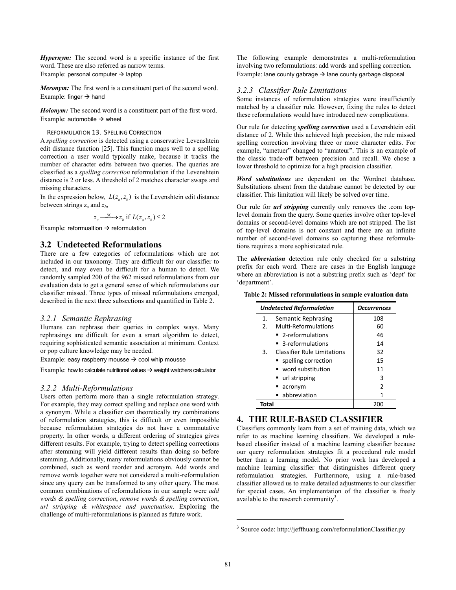*Hypernym:* The second word is a specific instance of the first word. These are also referred as narrow terms. Example: personal computer  $\rightarrow$  laptop

*Meronym:* The first word is a constituent part of the second word. Example: finger  $\rightarrow$  hand

*Holonym:* The second word is a constituent part of the first word. Example: automobile  $\rightarrow$  wheel

#### REFORMULATION 13. SPELLING CORRECTION

A *spelling correction* is detected using a conservative Levenshtein edit distance function [25]. This function maps well to a spelling correction a user would typically make, because it tracks the number of character edits between two queries. The queries are classified as a *spelling correction* reformulation if the Levenshtein distance is 2 or less. A threshold of 2 matches character swaps and missing characters.

In the expression below,  $L(z_a, z_b)$  is the Levenshtein edit distance between strings  $z_a$  and  $z_b$ ,

$$
z_a \xrightarrow{SC} z_b
$$
 if  $L(z_a, z_b) \le 2$ 

Example: reformualtion  $\rightarrow$  reformulation

### **3.2 Undetected Reformulations**

There are a few categories of reformulations which are not included in our taxonomy. They are difficult for our classifier to detect, and may even be difficult for a human to detect. We randomly sampled 200 of the 962 missed reformulations from our evaluation data to get a general sense of which reformulations our classifier missed. Three types of missed reformulations emerged, described in the next three subsections and quantified in Table 2.

#### *3.2.1 Semantic Rephrasing*

Humans can rephrase their queries in complex ways. Many rephrasings are difficult for even a smart algorithm to detect, requiring sophisticated semantic association at minimum. Context or pop culture knowledge may be needed.

Example: easy raspberry mousse  $\rightarrow$  cool whip mousse

Example: how to calculate nutritional values  $\rightarrow$  weight watchers calculator

#### *3.2.2 Multi-Reformulations*

Users often perform more than a single reformulation strategy. For example, they may correct spelling and replace one word with a synonym. While a classifier can theoretically try combinations of reformulation strategies, this is difficult or even impossible because reformulation strategies do not have a commutative property. In other words, a different ordering of strategies gives different results. For example, trying to detect spelling corrections after stemming will yield different results than doing so before stemming. Additionally, many reformulations obviously cannot be combined, such as word reorder and acronym. Add words and remove words together were not considered a multi-reformulation since any query can be transformed to any other query. The most common combinations of reformulations in our sample were *add words & spelling correction*, *remove words & spelling correction*, *url stripping & whitespace and punctuation*. Exploring the challenge of multi-reformulations is planned as future work.

The following example demonstrates a multi-reformulation involving two reformulations: add words and spelling correction. Example: lane county gabrage  $\rightarrow$  lane county garbage disposal

#### *3.2.3 Classifier Rule Limitations*

Some instances of reformulation strategies were insufficiently matched by a classifier rule. However, fixing the rules to detect these reformulations would have introduced new complications.

Our rule for detecting *spelling correction* used a Levenshtein edit distance of 2. While this achieved high precision, the rule missed spelling correction involving three or more character edits. For example, "ametuer" changed to "amateur". This is an example of the classic trade-off between precision and recall. We chose a lower threshold to optimize for a high precision classifier.

*Word substitutions* are dependent on the Wordnet database. Substitutions absent from the database cannot be detected by our classifier. This limitation will likely be solved over time.

Our rule for *url stripping* currently only removes the .com toplevel domain from the query. Some queries involve other top-level domains or second-level domains which are not stripped. The list of top-level domains is not constant and there are an infinite number of second-level domains so capturing these reformulations requires a more sophisticated rule.

The *abbreviation* detection rule only checked for a substring prefix for each word. There are cases in the English language where an abbreviation is not a substring prefix such as 'dept' for 'department'.

**Table 2: Missed reformulations in sample evaluation data** 

|                       | Undetected Reformulation           | <b>Occurrences</b> |
|-----------------------|------------------------------------|--------------------|
| 1.                    | Semantic Rephrasing                | 108                |
| $\mathcal{P}_{\cdot}$ | Multi-Reformulations               | 60                 |
|                       | ■ 2-reformulations                 | 46                 |
|                       | ■ 3-reformulations                 | 14                 |
| 3.                    | <b>Classifier Rule Limitations</b> | 32                 |
|                       | ■ spelling correction              | 15                 |
|                       | word substitution                  | 11                 |
|                       | url stripping                      | 3                  |
|                       | acronym                            | 2                  |
|                       | abbreviation                       | 1                  |
| Total                 |                                    | 200                |

# **4. THE RULE-BASED CLASSIFIER**

Classifiers commonly learn from a set of training data, which we refer to as machine learning classifiers. We developed a rulebased classifier instead of a machine learning classifier because our query reformulation strategies fit a procedural rule model better than a learning model. No prior work has developed a machine learning classifier that distinguishes different query reformulation strategies. Furthermore, using a rule-based classifier allowed us to make detailed adjustments to our classifier for special cases. An implementation of the classifier is freely available to the research community<sup>3</sup>.

1

<sup>3</sup> Source code: http://jeffhuang.com/reformulationClassifier.py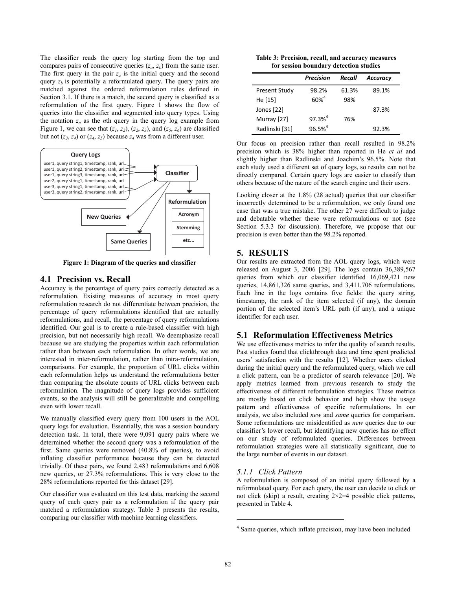The classifier reads the query log starting from the top and compares pairs of consecutive queries  $(z_a, z_b)$  from the same user. The first query in the pair  $z_a$  is the initial query and the second query  $z_b$  is potentially a reformulated query. The query pairs are matched against the ordered reformulation rules defined in Section 3.1. If there is a match, the second query is classified as a reformulation of the first query. Figure 1 shows the flow of queries into the classifier and segmented into query types. Using the notation  $z_n$  as the *n*th query in the query log example from Figure 1, we can see that  $(z_1, z_2)$ ,  $(z_2, z_3)$ , and  $(z_5, z_6)$  are classified but not  $(z_3, z_4)$  or  $(z_4, z_5)$  because  $z_4$  was from a different user.



**Figure 1: Diagram of the queries and classifier** 

## **4.1 Precision vs. Recall**

Accuracy is the percentage of query pairs correctly detected as a reformulation. Existing measures of accuracy in most query reformulation research do not differentiate between precision, the percentage of query reformulations identified that are actually reformulations, and recall, the percentage of query reformulations identified. Our goal is to create a rule-based classifier with high precision, but not necessarily high recall. We deemphasize recall because we are studying the properties within each reformulation rather than between each reformulation. In other words, we are interested in inter-reformulation, rather than intra-reformulation, comparisons. For example, the proportion of URL clicks within each reformulation helps us understand the reformulations better than comparing the absolute counts of URL clicks between each reformulation. The magnitude of query logs provides sufficient events, so the analysis will still be generalizable and compelling even with lower recall.

We manually classified every query from 100 users in the AOL query logs for evaluation. Essentially, this was a session boundary detection task. In total, there were 9,091 query pairs where we determined whether the second query was a reformulation of the first. Same queries were removed (40.8% of queries), to avoid inflating classifier performance because they can be detected trivially. Of these pairs, we found 2,483 reformulations and 6,608 new queries, or 27.3% reformulations. This is very close to the 28% reformulations reported for this dataset [29].

Our classifier was evaluated on this test data, marking the second query of each query pair as a reformulation if the query pair matched a reformulation strategy. Table 3 presents the results, comparing our classifier with machine learning classifiers.

**Table 3: Precision, recall, and accuracy measures for session boundary detection studies** 

|                      | <b>Precision</b> | Recall | <b>Accuracy</b> |
|----------------------|------------------|--------|-----------------|
| <b>Present Study</b> | 98.2%            | 61.3%  | 89.1%           |
| He [15]              | $60\%^{4}$       | 98%    |                 |
| Jones [22]           |                  |        | 87.3%           |
| Murray [27]          | $97.3%^{4}$      | 76%    |                 |
| Radlinski [31]       | $96.5%^{4}$      |        | 92.3%           |

Our focus on precision rather than recall resulted in 98.2% precision which is 38% higher than reported in He *et al* and slightly higher than Radlinski and Joachim's 96.5%. Note that each study used a different set of query logs, so results can not be directly compared. Certain query logs are easier to classify than others because of the nature of the search engine and their users.

Looking closer at the 1.8% (28 actual) queries that our classifier incorrectly determined to be a reformulation, we only found one case that was a true mistake. The other 27 were difficult to judge and debatable whether these were reformulations or not (see Section 5.3.3 for discussion). Therefore, we propose that our precision is even better than the 98.2% reported.

# **5. RESULTS**

Our results are extracted from the AOL query logs, which were released on August 3, 2006 [29]. The logs contain 36,389,567 queries from which our classifier identified 16,069,421 new queries, 14,861,326 same queries, and 3,411,706 reformulations. Each line in the logs contains five fields: the query string, timestamp, the rank of the item selected (if any), the domain portion of the selected item's URL path (if any), and a unique identifier for each user.

# **5.1 Reformulation Effectiveness Metrics**

We use effectiveness metrics to infer the quality of search results. Past studies found that clickthrough data and time spent predicted users' satisfaction with the results [12]. Whether users clicked during the initial query and the reformulated query, which we call a click pattern, can be a predictor of search relevance [20]. We apply metrics learned from previous research to study the effectiveness of different reformulation strategies. These metrics are mostly based on click behavior and help show the usage pattern and effectiveness of specific reformulations. In our analysis, we also included *new* and *same* queries for comparison. Some reformulations are misidentified as *new* queries due to our classifier's lower recall, but identifying new queries has no effect on our study of reformulated queries. Differences between reformulation strategies were all statistically significant, due to the large number of events in our dataset.

#### *5.1.1 Click Pattern*

A reformulation is composed of an initial query followed by a reformulated query. For each query, the user can decide to click or not click (skip) a result, creating  $2 \times 2 = 4$  possible click patterns, presented in Table 4.

1

<sup>&</sup>lt;sup>4</sup> Same queries, which inflate precision, may have been included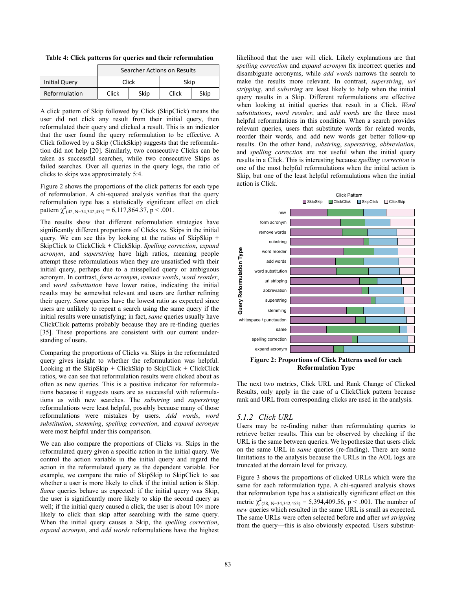**Table 4: Click patterns for queries and their reformulation** 

|                      | Searcher Actions on Results |      |       |      |
|----------------------|-----------------------------|------|-------|------|
| <b>Initial Query</b> | Click                       |      | Skip  |      |
| Reformulation        | Click                       | Skip | Click | Skip |

A click pattern of Skip followed by Click (SkipClick) means the user did not click any result from their initial query, then reformulated their query and clicked a result. This is an indicator that the user found the query reformulation to be effective. A Click followed by a Skip (ClickSkip) suggests that the reformulation did not help [20]. Similarly, two consecutive Clicks can be taken as successful searches, while two consecutive Skips as failed searches. Over all queries in the query logs, the ratio of clicks to skips was approximately 5:4.

Figure 2 shows the proportions of the click patterns for each type of reformulation. A chi-squared analysis verifies that the query reformulation type has a statistically significant effect on click pattern  $\chi^2_{(42, N=34,342,453)} = 6,117,864.37, p < .001.$ 

The results show that different reformulation strategies have significantly different proportions of Clicks vs. Skips in the initial query. We can see this by looking at the ratios of SkipSkip + SkipClick to ClickClick + ClickSkip. *Spelling correction*, *expand acronym*, and *superstring* have high ratios, meaning people attempt these reformulations when they are unsatisfied with their initial query, perhaps due to a misspelled query or ambiguous acronym. In contrast, *form acronym*, *remove words*, *word reorder*, and *word substitution* have lower ratios, indicating the initial results may be somewhat relevant and users are further refining their query. *Same* queries have the lowest ratio as expected since users are unlikely to repeat a search using the same query if the initial results were unsatisfying; in fact, *same* queries usually have ClickClick patterns probably because they are re-finding queries [35]. These proportions are consistent with our current understanding of users.

Comparing the proportions of Clicks vs. Skips in the reformulated query gives insight to whether the reformulation was helpful. Looking at the SkipSkip + ClickSkip to SkipClick + ClickClick ratios, we can see that reformulation results were clicked about as often as new queries. This is a positive indicator for reformulations because it suggests users are as successful with reformulations as with new searches. The *substring* and *superstring* reformulations were least helpful, possibly because many of those reformulations were mistakes by users. *Add words*, *word substitution*, *stemming*, *spelling correction*, and *expand acronym* were most helpful under this comparison.

We can also compare the proportions of Clicks vs. Skips in the reformulated query given a specific action in the initial query. We control the action variable in the initial query and regard the action in the reformulated query as the dependent variable. For example, we compare the ratio of SkipSkip to SkipClick to see whether a user is more likely to click if the initial action is Skip. *Same* queries behave as expected: if the initial query was Skip, the user is significantly more likely to skip the second query as well; if the initial query caused a click, the user is about  $10\times$  more likely to click than skip after searching with the same query. When the initial query causes a Skip, the *spelling correction*, *expand acronym*, and *add words* reformulations have the highest

likelihood that the user will click. Likely explanations are that *spelling correction* and *expand acronym* fix incorrect queries and disambiguate acronyms, while *add words* narrows the search to make the results more relevant. In contrast, *superstring*, *url stripping*, and *substring* are least likely to help when the initial query results in a Skip. Different reformulations are effective when looking at initial queries that result in a Click. *Word substitutions*, *word reorder*, and *add words* are the three most helpful reformulations in this condition. When a search provides relevant queries, users that substitute words for related words, reorder their words, and add new words get better follow-up results. On the other hand, *substring*, *superstring*, *abbreviation*, and *spelling correction* are not useful when the initial query results in a Click. This is interesting because *spelling correction* is one of the most helpful reformulations when the initial action is Skip, but one of the least helpful reformulations when the initial action is Click.



**Figure 2: Proportions of Click Patterns used for each Reformulation Type** 

The next two metrics, Click URL and Rank Change of Clicked Results, only apply in the case of a ClickClick pattern because rank and URL from corresponding clicks are used in the analysis.

#### *5.1.2 Click URL*

Users may be re-finding rather than reformulating queries to retrieve better results. This can be observed by checking if the URL is the same between queries. We hypothesize that users click on the same URL in *same* queries (re-finding). There are some limitations to the analysis because the URLs in the AOL logs are truncated at the domain level for privacy.

Figure 3 shows the proportions of clicked URLs which were the same for each reformulation type. A chi-squared analysis shows that reformulation type has a statistically significant effect on this metric  $\chi^2$ <sub>(28, N=34,342,453)</sub> = 5,394,409.56, p < .001. The number of *new* queries which resulted in the same URL is small as expected. The same URLs were often selected before and after *url stripping* from the query—this is also obviously expected. Users substitut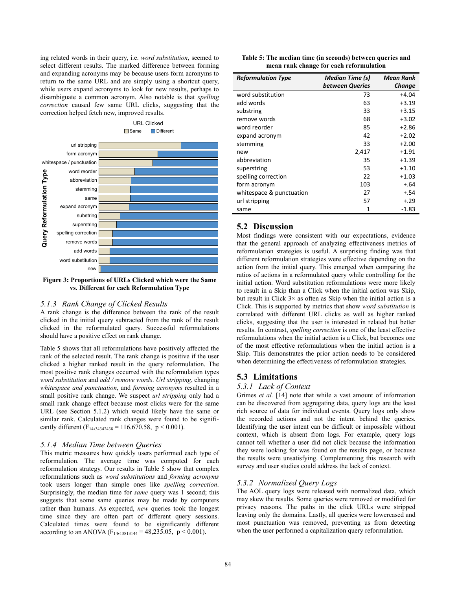ing related words in their query, i.e. *word substitution*, seemed to select different results. The marked difference between forming and expanding acronyms may be because users form acronyms to return to the same URL and are simply using a shortcut query, while users expand acronyms to look for new results, perhaps to disambiguate a common acronym. Also notable is that *spelling correction* caused few same URL clicks, suggesting that the correction helped fetch new, improved results.



**Figure 3: Proportions of URLs Clicked which were the Same vs. Different for each Reformulation Type** 

## *5.1.3 Rank Change of Clicked Results*

A rank change is the difference between the rank of the result clicked in the initial query subtracted from the rank of the result clicked in the reformulated query. Successful reformulations should have a positive effect on rank change.

Table 5 shows that all reformulations have positively affected the rank of the selected result. The rank change is positive if the user clicked a higher ranked result in the query reformulation. The most positive rank changes occurred with the reformulation types *word substitution* and *add / remove words*. *Url stripping*, changing *whitespace and punctuation*, and *forming acronyms* resulted in a small positive rank change. We suspect *url stripping* only had a small rank change effect because most clicks were for the same URL (see Section 5.1.2) which would likely have the same or similar rank. Calculated rank changes were found to be significantly different (F<sub>14,34342438</sub> = 116,670.58, p < 0.001).

#### *5.1.4 Median Time between Queries*

This metric measures how quickly users performed each type of reformulation. The average time was computed for each reformulation strategy. Our results in Table 5 show that complex reformulations such as *word substitutions* and *forming acronyms* took users longer than simple ones like *spelling correction*. Surprisingly, the median time for *same* query was 1 second; this suggests that some same queries may be made by computers rather than humans. As expected, *new* queries took the longest time since they are often part of different query sessions. Calculated times were found to be significantly different according to an ANOVA ( $F_{14,13813144} = 48,235.05, p < 0.001$ ).

| Table 5: The median time (in seconds) between queries and |
|-----------------------------------------------------------|
| mean rank change for each reformulation                   |

| <b>Reformulation Type</b> | Median Time (s)<br>between Queries | Mean Rank<br>Change |
|---------------------------|------------------------------------|---------------------|
| word substitution         | 73                                 | $+4.04$             |
| add words                 | 63                                 | $+3.19$             |
| substring                 | 33                                 | $+3.15$             |
| remove words              | 68                                 | $+3.02$             |
| word reorder              | 85                                 | $+2.86$             |
| expand acronym            | 42                                 | $+2.02$             |
| stemming                  | 33                                 | $+2.00$             |
| new                       | 2,417                              | $+1.91$             |
| abbreviation              | 35                                 | $+1.39$             |
| superstring               | 53                                 | $+1.10$             |
| spelling correction       | 22                                 | $+1.03$             |
| form acronym              | 103                                | $+.64$              |
| whitespace & punctuation  | 27                                 | $+.54$              |
| url stripping             | 57                                 | $+.29$              |
| same                      | 1                                  | -1.83               |

# **5.2 Discussion**

Most findings were consistent with our expectations, evidence that the general approach of analyzing effectiveness metrics of reformulation strategies is useful. A surprising finding was that different reformulation strategies were effective depending on the action from the initial query. This emerged when comparing the ratios of actions in a reformulated query while controlling for the initial action. Word substitution reformulations were more likely to result in a Skip than a Click when the initial action was Skip, but result in Click 3× as often as Skip when the initial action is a Click. This is supported by metrics that show *word substitution* is correlated with different URL clicks as well as higher ranked clicks, suggesting that the user is interested in related but better results. In contrast, *spelling correction* is one of the least effective reformulations when the initial action is a Click, but becomes one of the most effective reformulations when the initial action is a Skip. This demonstrates the prior action needs to be considered when determining the effectiveness of reformulation strategies.

#### **5.3 Limitations**

#### *5.3.1 Lack of Context*

Grimes *et al.* [14] note that while a vast amount of information can be discovered from aggregating data, query logs are the least rich source of data for individual events. Query logs only show the recorded actions and not the intent behind the queries. Identifying the user intent can be difficult or impossible without context, which is absent from logs. For example, query logs cannot tell whether a user did not click because the information they were looking for was found on the results page, or because the results were unsatisfying. Complementing this research with survey and user studies could address the lack of context.

#### *5.3.2 Normalized Query Logs*

The AOL query logs were released with normalized data, which may skew the results. Some queries were removed or modified for privacy reasons. The paths in the click URLs were stripped leaving only the domains. Lastly, all queries were lowercased and most punctuation was removed, preventing us from detecting when the user performed a capitalization query reformulation.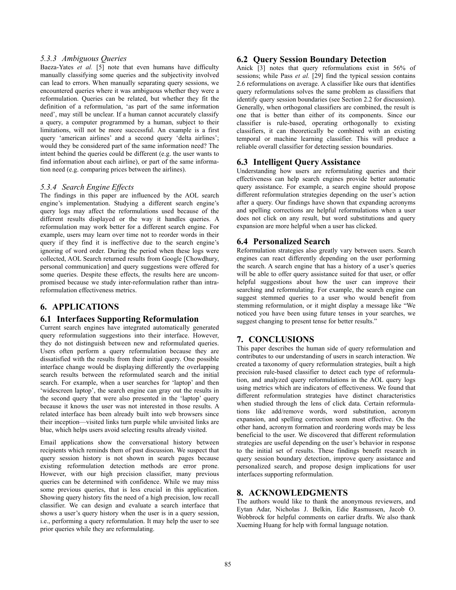## *5.3.3 Ambiguous Queries*

Baeza-Yates *et al.* [5] note that even humans have difficulty manually classifying some queries and the subjectivity involved can lead to errors. When manually separating query sessions, we encountered queries where it was ambiguous whether they were a reformulation. Queries can be related, but whether they fit the definition of a reformulation, 'as part of the same information need', may still be unclear. If a human cannot accurately classify a query, a computer programmed by a human, subject to their limitations, will not be more successful. An example is a first query 'american airlines' and a second query 'delta airlines': would they be considered part of the same information need? The intent behind the queries could be different (e.g. the user wants to find information about each airline), or part of the same information need (e.g. comparing prices between the airlines).

#### *5.3.4 Search Engine Effects*

The findings in this paper are influenced by the AOL search engine's implementation. Studying a different search engine's query logs may affect the reformulations used because of the different results displayed or the way it handles queries. A reformulation may work better for a different search engine. For example, users may learn over time not to reorder words in their query if they find it is ineffective due to the search engine's ignoring of word order. During the period when these logs were collected, AOL Search returned results from Google [Chowdhury, personal communication] and query suggestions were offered for some queries. Despite these effects, the results here are uncompromised because we study inter-reformulation rather than intrareformulation effectiveness metrics.

# **6. APPLICATIONS**

## **6.1 Interfaces Supporting Reformulation**

Current search engines have integrated automatically generated query reformulation suggestions into their interface. However, they do not distinguish between new and reformulated queries. Users often perform a query reformulation because they are dissatisfied with the results from their initial query. One possible interface change would be displaying differently the overlapping search results between the reformulated search and the initial search. For example, when a user searches for 'laptop' and then 'widescreen laptop', the search engine can gray out the results in the second query that were also presented in the 'laptop' query because it knows the user was not interested in those results. A related interface has been already built into web browsers since their inception—visited links turn purple while unvisited links are blue, which helps users avoid selecting results already visited.

Email applications show the conversational history between recipients which reminds them of past discussion. We suspect that query session history is not shown in search pages because existing reformulation detection methods are error prone. However, with our high precision classifier, many previous queries can be determined with confidence. While we may miss some previous queries, that is less crucial in this application. Showing query history fits the need of a high precision, low recall classifier. We can design and evaluate a search interface that shows a user's query history when the user is in a query session, i.e., performing a query reformulation. It may help the user to see prior queries while they are reformulating.

## **6.2 Query Session Boundary Detection**

Anick [3] notes that query reformulations exist in 56% of sessions; while Pass *et al.* [29] find the typical session contains 2.6 reformulations on average. A classifier like ours that identifies query reformulations solves the same problem as classifiers that identify query session boundaries (see Section 2.2 for discussion). Generally, when orthogonal classifiers are combined, the result is one that is better than either of its components. Since our classifier is rule-based, operating orthogonally to existing classifiers, it can theoretically be combined with an existing temporal or machine learning classifier. This will produce a reliable overall classifier for detecting session boundaries.

### **6.3 Intelligent Query Assistance**

Understanding how users are reformulating queries and their effectiveness can help search engines provide better automatic query assistance. For example, a search engine should propose different reformulation strategies depending on the user's action after a query. Our findings have shown that expanding acronyms and spelling corrections are helpful reformulations when a user does not click on any result, but word substitutions and query expansion are more helpful when a user has clicked.

## **6.4 Personalized Search**

Reformulation strategies also greatly vary between users. Search engines can react differently depending on the user performing the search. A search engine that has a history of a user's queries will be able to offer query assistance suited for that user, or offer helpful suggestions about how the user can improve their searching and reformulating. For example, the search engine can suggest stemmed queries to a user who would benefit from stemming reformulation, or it might display a message like "We noticed you have been using future tenses in your searches, we suggest changing to present tense for better results."

# **7. CONCLUSIONS**

This paper describes the human side of query reformulation and contributes to our understanding of users in search interaction. We created a taxonomy of query reformulation strategies, built a high precision rule-based classifier to detect each type of reformulation, and analyzed query reformulations in the AOL query logs using metrics which are indicators of effectiveness. We found that different reformulation strategies have distinct characteristics when studied through the lens of click data. Certain reformulations like add/remove words, word substitution, acronym expansion, and spelling correction seem most effective. On the other hand, acronym formation and reordering words may be less beneficial to the user. We discovered that different reformulation strategies are useful depending on the user's behavior in response to the initial set of results. These findings benefit research in query session boundary detection, improve query assistance and personalized search, and propose design implications for user interfaces supporting reformulation.

# **8. ACKNOWLEDGMENTS**

The authors would like to thank the anonymous reviewers, and Eytan Adar, Nicholas J. Belkin, Edie Rasmussen, Jacob O. Wobbrock for helpful comments on earlier drafts. We also thank Xueming Huang for help with formal language notation.